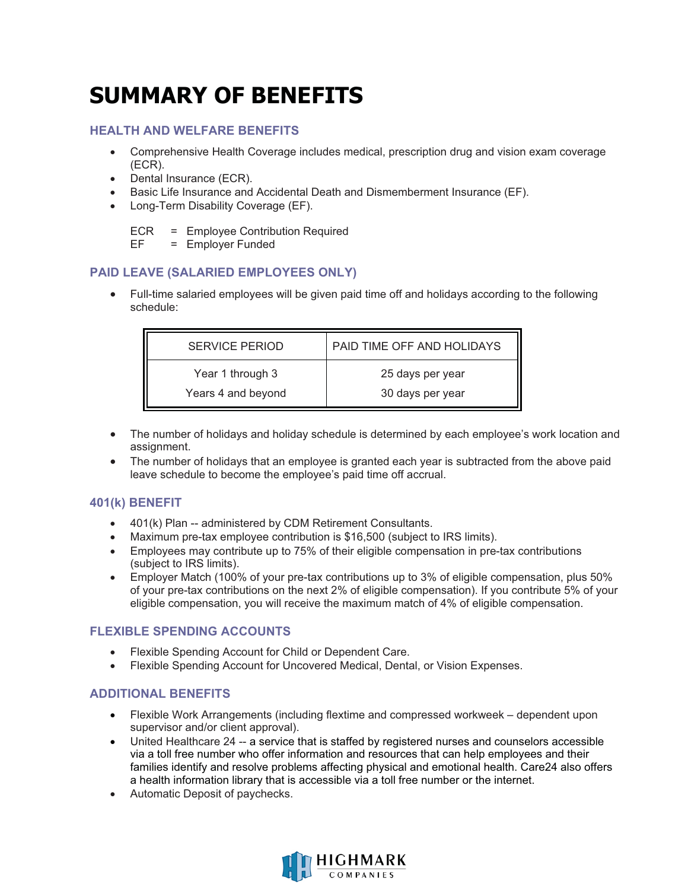# **SUMMARY OF BENEFITS**

### **HEALTH AND WELFARE BENEFITS**

- $\bullet$  Comprehensive Health Coverage includes medical, prescription drug and vision exam coverage (ECR).
- -Dental Insurance (ECR).
- -Basic Life Insurance and Accidental Death and Dismemberment Insurance (EF).
- -Long-Term Disability Coverage (EF).

ECR = Employee Contribution Required

EF = Employer Funded

## **PAID LEAVE (SALARIED EMPLOYEES ONLY)**

 $\bullet$  Full-time salaried employees will be given paid time off and holidays according to the following schedule:

| SERVICE PERIOD     | PAID TIME OFF AND HOLIDAYS |
|--------------------|----------------------------|
| Year 1 through 3   | 25 days per year           |
| Years 4 and beyond | 30 days per year           |

- $\bullet$  The number of holidays and holiday schedule is determined by each employee's work location and assignment.
- - The number of holidays that an employee is granted each year is subtracted from the above paid leave schedule to become the employee's paid time off accrual.

#### **401(k) BENEFIT**

- 401(k) Plan -- administered by CDM Retirement Consultants.
- -Maximum pre-tax employee contribution is \$16,500 (subject to IRS limits).
- $\bullet$  Employees may contribute up to 75% of their eligible compensation in pre-tax contributions (subject to IRS limits).
- - Employer Match (100% of your pre-tax contributions up to 3% of eligible compensation, plus 50% of your pre-tax contributions on the next 2% of eligible compensation). If you contribute 5% of your eligible compensation, you will receive the maximum match of 4% of eligible compensation.

## **FLEXIBLE SPENDING ACCOUNTS**

- -Flexible Spending Account for Child or Dependent Care.
- $\bullet$ Flexible Spending Account for Uncovered Medical, Dental, or Vision Expenses.

#### **ADDITIONAL BENEFITS**

- - Flexible Work Arrangements (including flextime and compressed workweek – dependent upon supervisor and/or client approval).
- - United Healthcare 24 -- a service that is staffed by registered nurses and counselors accessible via a toll free number who offer information and resources that can help employees and their families identify and resolve problems affecting physical and emotional health. Care24 also offers a health information library that is accessible via a toll free number or the internet.
- -Automatic Deposit of paychecks.